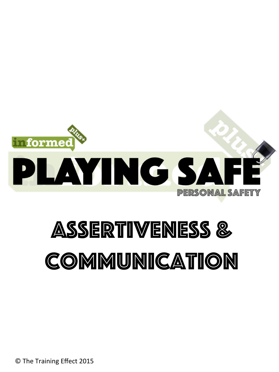

# Assertiveness & Communication

© The Training Effect 2015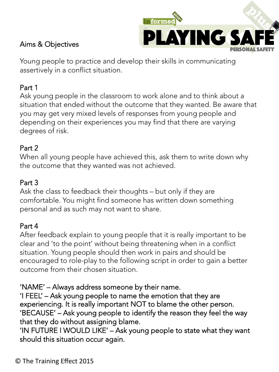

## Aims & Objectives

Young people to practice and develop their skills in communicating assertively in a conflict situation.

## Part 1

Ask young people in the classroom to work alone and to think about a situation that ended without the outcome that they wanted. Be aware that you may get very mixed levels of responses from young people and depending on their experiences you may find that there are varying degrees of risk.

### Part 2

When all young people have achieved this, ask them to write down why the outcome that they wanted was not achieved.

#### Part 3

Ask the class to feedback their thoughts – but only if they are comfortable. You might find someone has written down something personal and as such may not want to share.

## Part 4

After feedback explain to young people that it is really important to be clear and 'to the point' without being threatening when in a conflict situation. Young people should then work in pairs and should be encouraged to role-play to the following script in order to gain a better outcome from their chosen situation.

#### 'NAME' – Always address someone by their name.

'I FEEL' – Ask young people to name the emotion that they are experiencing. It is really important NOT to blame the other person. 'BECAUSE' – Ask young people to identify the reason they feel the way that they do without assigning blame.

'IN FUTURE I WOULD LIKE' – Ask young people to state what they want should this situation occur again.